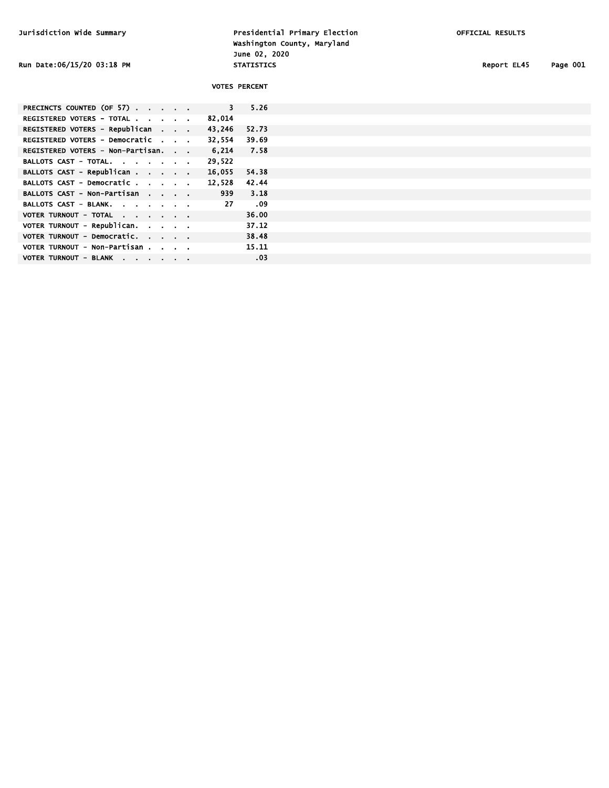Jurisdiction Wide Summary Presidential Primary Election OFFICIAL RESULTS Washington County, Maryland June 02, 2020<br>STATISTICS Run Date:06/15/20 03:18 PM **STATISTICS** STATISTICS Report EL45 Page 001

| --- | ^^1 |
|-----|-----|

|                                   |  |              | <b>VOTES PERCENT</b> |
|-----------------------------------|--|--------------|----------------------|
| PRECINCTS COUNTED (OF 57)         |  | $\mathbf{3}$ | 5.26                 |
| REGISTERED VOTERS - TOTAL         |  | 82,014       |                      |
| REGISTERED VOTERS - Republican    |  | 43,246       | 52.73                |
| REGISTERED VOTERS - Democratic    |  | 32,554       | 39.69                |
| REGISTERED VOTERS - Non-Partisan. |  | 6.214        | 7.58                 |
| BALLOTS CAST - TOTAL.             |  | 29,522       |                      |
| BALLOTS CAST - Republican         |  | 16,055       | 54.38                |
| BALLOTS CAST - Democratic         |  | 12.528       | 42.44                |
| BALLOTS CAST - Non-Partisan       |  | 939          | 3.18                 |
| BALLOTS CAST - BLANK.             |  | -27          | .09                  |
| VOTER TURNOUT - TOTAL             |  |              | 36.00                |
| VOTER TURNOUT - Republican.       |  |              | 37.12                |
| VOTER TURNOUT - Democratic.       |  |              | 38.48                |
| VOTER TURNOUT - Non-Partisan      |  |              | 15.11                |
| VOTER TURNOUT - BLANK             |  |              | .03                  |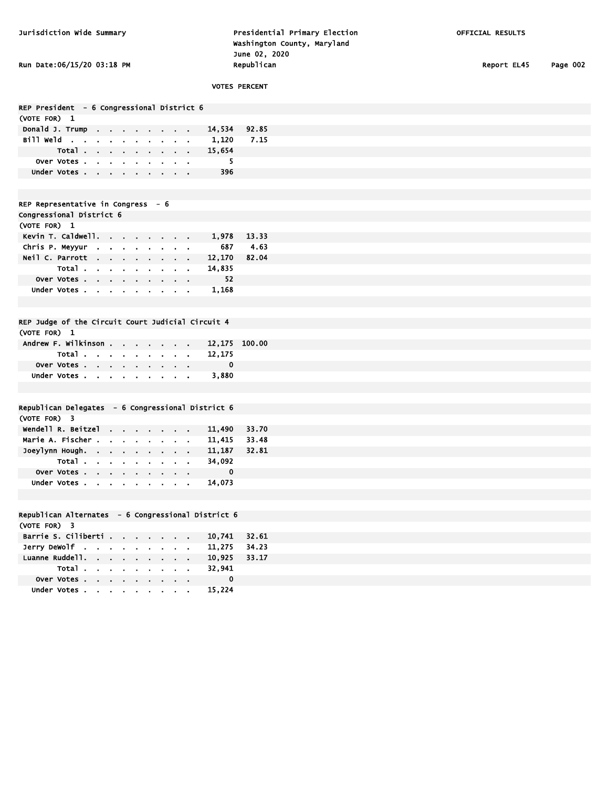Jurisdiction Wide Summary Presidential Primary Election OFFICIAL RESULTS Washington County, Maryland June 02, 2020 Run Date:06/15/20 03:18 PM **Republican** Republican Report EL45 Page 002

|                                                    |             | <b>VOTES PERCENT</b> |
|----------------------------------------------------|-------------|----------------------|
|                                                    |             |                      |
| REP President - 6 Congressional District 6         |             |                      |
| (VOTE FOR) 1                                       |             |                      |
| Donald J. Trump                                    | 14,534      | 92.85                |
| Bill Weld                                          | 1,120       | 7.15                 |
| Total                                              | 15,654      |                      |
| Over Votes                                         | 5.          |                      |
| Under Votes                                        | 396         |                      |
|                                                    |             |                      |
|                                                    |             |                      |
| REP Representative in Congress $-6$                |             |                      |
| Congressional District 6                           |             |                      |
| (VOTE FOR) 1                                       |             |                      |
| Kevin T. Caldwell.                                 |             | 1,978 13.33          |
| Chris P. Meyyur                                    | 687         | 4.63                 |
|                                                    |             |                      |
| Neil C. Parrott                                    | 12,170      | 82.04                |
| Total                                              | 14,835      |                      |
| Over Votes                                         | 52          |                      |
| Under Votes                                        | 1,168       |                      |
|                                                    |             |                      |
|                                                    |             |                      |
| REP Judge of the Circuit Court Judicial Circuit 4  |             |                      |
| (VOTE FOR) 1                                       |             |                      |
| Andrew F. Wilkinson                                |             | 12,175 100.00        |
| Total                                              | 12,175      |                      |
|                                                    | 0           |                      |
| Over Votes                                         |             |                      |
| Under Votes                                        | 3,880       |                      |
|                                                    |             |                      |
|                                                    |             |                      |
| Republican Delegates - 6 Congressional District 6  |             |                      |
| (VOTE FOR) 3                                       |             |                      |
| Wendell R. Beitzel                                 |             | 11,490 33.70         |
| Marie A. Fischer                                   | 11,415      | 33.48                |
| Joeylynn Hough.                                    | 11,187      | 32.81                |
| Total                                              | 34,092      |                      |
|                                                    | $\mathbf 0$ |                      |
| Over Votes                                         |             |                      |
| Under Votes                                        | 14,073      |                      |
|                                                    |             |                      |
|                                                    |             |                      |
| Republican Alternates - 6 Congressional District 6 |             |                      |
| (VOTE FOR) 3                                       |             |                      |
| Barrie S. Ciliberti                                |             | 10,741 32.61         |
| $Jerry$ DeWolf $\ldots$ $\ldots$ $\ldots$          | 11,275      | 34.23                |
|                                                    |             |                      |
| Luanne Ruddell.<br>$\bullet$                       |             | 10,925 33.17         |
| Total                                              | 32,941      |                      |
| Over Votes                                         | $\mathbf 0$ |                      |
| Under Votes                                        | 15,224      |                      |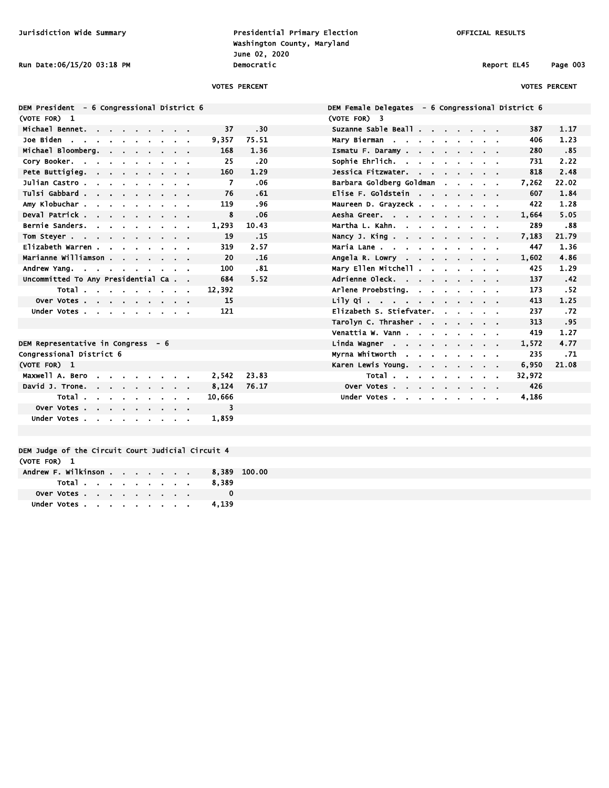Jurisdiction Wide Summary Presidential Primary Election OFFICIAL RESULTS Washington County, Maryland June 02, 2020 Run Date:06/15/20 03:18 PM **Democratic** Democratic Report EL45 Page 003

(VOTE FOR) 3

### VOTES PERCENT VOTES PERCENT

|  |            | <b>DEM President</b> |                       |                          |                  |                                     |                |                |                      |                |                | - 6 Congressional District 6 |        |      |
|--|------------|----------------------|-----------------------|--------------------------|------------------|-------------------------------------|----------------|----------------|----------------------|----------------|----------------|------------------------------|--------|------|
|  | (VOTE FOR) |                      | - 1                   |                          |                  |                                     |                |                |                      |                |                |                              |        |      |
|  |            |                      | Michael Bennet.       |                          | ä,               |                                     |                | $\blacksquare$ |                      |                |                |                              | 37     | . 3  |
|  | Joe Biden  |                      | - 4                   |                          | ×                | $\blacksquare$                      | $\blacksquare$ | $\blacksquare$ | $\blacksquare$       | $\blacksquare$ | $\blacksquare$ | ٠                            | 9,357  | 75.5 |
|  |            |                      | Michael Bloomberg.    |                          |                  | $\blacksquare$                      | $\blacksquare$ | $\blacksquare$ | $\blacksquare$       | $\blacksquare$ | $\blacksquare$ | $\blacksquare$               | 168    | 1.3  |
|  |            | Cory Booker.         |                       | - 1                      | Ĭ.               | ä.                                  |                | i.             | $\blacksquare$       | ä,             | $\blacksquare$ |                              | 25     | . 2  |
|  |            |                      | Pete Buttigieg.       |                          | ä.               | $\blacksquare$                      | $\blacksquare$ | ×.             | $\blacksquare$       | ٠              | $\blacksquare$ | ٠                            | 160    | 1.7  |
|  |            |                      | Julian Castro .       |                          | ä,               | $\blacksquare$                      | ä,             | $\blacksquare$ | $\blacksquare$       | ä,             |                | $\blacksquare$               | 7      | ).   |
|  |            |                      | Tulsi Gabbard .       |                          | ×.               | $\blacksquare$                      | $\blacksquare$ | $\blacksquare$ | $\blacksquare$       | $\blacksquare$ | $\blacksquare$ | $\blacksquare$               | 76     | . (  |
|  |            |                      | Amy Klobuchar.        |                          | ä,               | ä,                                  | ä,             | $\blacksquare$ | ٠                    | $\blacksquare$ |                | ٠                            | 119    | ، ِ  |
|  |            |                      | Deval Patrick.        |                          | ä,               | $\blacksquare$                      | $\blacksquare$ | ä.             | $\blacksquare$       | ä.             | $\blacksquare$ | ٠                            | 8      | ).   |
|  |            |                      | Bernie Sanders.       |                          | i.               | $\blacksquare$                      | $\blacksquare$ | ä.             | $\blacksquare$       | $\blacksquare$ |                |                              | 1,293  | ، 10 |
|  |            | Tom Steyer.          | $\sim$                |                          | $\blacksquare$   | $\blacksquare$                      | $\blacksquare$ | $\blacksquare$ | $\blacksquare$       | $\blacksquare$ | $\blacksquare$ | $\blacksquare$               | 19     | .1   |
|  |            |                      | Elizabeth Warren.     |                          |                  | ä,                                  | ×              | $\blacksquare$ | $\blacksquare$       | ä.             |                |                              | 319    | 2.5  |
|  |            |                      | Marianne Williamson . |                          |                  |                                     | $\bullet$      | $\blacksquare$ | $\blacksquare$       | ä.             | $\blacksquare$ | ٠                            | 20     | د.   |
|  |            | Andrew Yang.         |                       | $\overline{\phantom{a}}$ | $\sim$ 100 $\pm$ | $\mathbf{r}$                        | $\blacksquare$ | $\blacksquare$ | $\ddot{\phantom{a}}$ | ä.             | $\blacksquare$ | $\blacksquare$               | 100    | ، د  |
|  |            |                      |                       |                          |                  | Uncommitted To Any Presidential Ca. |                |                |                      |                |                | ٠                            | 684    | 5.5  |
|  |            |                      | Total.                |                          |                  |                                     | ä,             |                | í.                   |                |                | $\blacksquare$               | 12,392 |      |
|  |            |                      | Over Votes.           |                          | ä,               | $\blacksquare$                      | $\blacksquare$ | ٠              | $\blacksquare$       | $\blacksquare$ | $\blacksquare$ | $\blacksquare$               | 15     |      |
|  |            |                      | Under Votes.          |                          | $\blacksquare$   | $\blacksquare$                      | $\blacksquare$ | $\blacksquare$ | $\blacksquare$       | $\blacksquare$ | $\blacksquare$ | $\blacksquare$               | 121    |      |
|  |            |                      |                       |                          |                  |                                     |                |                |                      |                |                |                              |        |      |

| Congressional District 6   |  |  |  |  |              |      |
|----------------------------|--|--|--|--|--------------|------|
| (VOTE FOR) 1               |  |  |  |  |              |      |
| Maxwell A. Bero 2,542 23.8 |  |  |  |  |              |      |
| David J. Trone.            |  |  |  |  | 8.124        | 76.1 |
|                            |  |  |  |  | Total 10.666 |      |
| Over Votes                 |  |  |  |  |              |      |
| Under Votes 1.859          |  |  |  |  |              |      |

# And Michael Suzanne Sable Beall . . . . . . . . 387 1.17 Joe Biden . . . . . . . . . . 9,357 75.51 Mary Bierman . . . . . . . . . 406 1.23 Michael Bloomberg. . . . . . . . 168 1.36 Ismatu F. Daramy . . . . . . . . 280 .85 Cory Booker. . . . . . . . . . 25 .20 Sophie Ehrlich. . . . . . . . . 731 2.22 Pete Buttigieg. . . . . . . . . 160 1.29 Jessica Fitzwater. . . . . . . . 818 2.48 Julian Castro . . . . . . . . . 7 .06 Barbara Goldberg Goldman . . . . . 7,262 22.02 Tulsi Gabbard . . . . . . . . . 76 .61 Elise F. Goldstein . . . . . . . 607 1.84 Amy Klobuchar . . . . . . . . . 119 .96 Maureen D. Grayzeck . . . . . . . 422 1.28 Deval Patrick . . . . . . . . . 8 .06 Aesha Greer. . . . . . . . . . 1,664 5.05 Bernie Sanders. . . . . . . . . 1,293 10.43 Martha L. Kahn. . . . . . . . . 289 .88 15 Nancy J. King . . . . . . . . . 7,183 21.79 Elizabeth Warren . . . . . . . . 319 2.57 Maria Lane . . . . . . . . . . 447 1.36 Marianne Williamson . . . . . . . 20 .16 Angela R. Lowry . . . . . . . . 1,602 4.86 Andrew Yang. . . . . . . . . . 100 .81 Mary Ellen Mitchell . . . . . . . 425 1.29 Uncommitted To Any Presidential Ca . . 684 5.52 Adrienne Oleck. . . . . . . . . 137 .42 Arlene Proebsting. . . . . . . . 173 .52 Lily Qi . . . . . . . . . . . 413 1.25 Elizabeth S. Stiefvater. . . . . . . 237 .72 Tarolyn C. Thrasher . . . . . . . 313 .95 Venattia W. Vann . . . . . . . . 419 1.27 DEM Representative in Congress - 6 **Linda Wagner .** . . . . . . . . . 1,572 4.77 Myrna Whitworth . . . . . . . . 235 .71 Karen Lewis Young. . . . . . . . 6,950 21.08 Total . . . . . . . . . 32,972 Over Votes . . . . . . . . . . 426 Under Votes . . . . . . . . . 4,186

DEM Female Delegates - 6 Congressional District 6

### DEM Judge of the Circuit Court Judicial Circuit 4 (VOTE FOR) 1

| Andrew F. Wilkinson 8.389 100.00 |                             |  |  |  |  |       |  |
|----------------------------------|-----------------------------|--|--|--|--|-------|--|
|                                  | Total                       |  |  |  |  | 8.389 |  |
|                                  | Over Votes, , , , , , , , , |  |  |  |  |       |  |
|                                  |                             |  |  |  |  | 4.139 |  |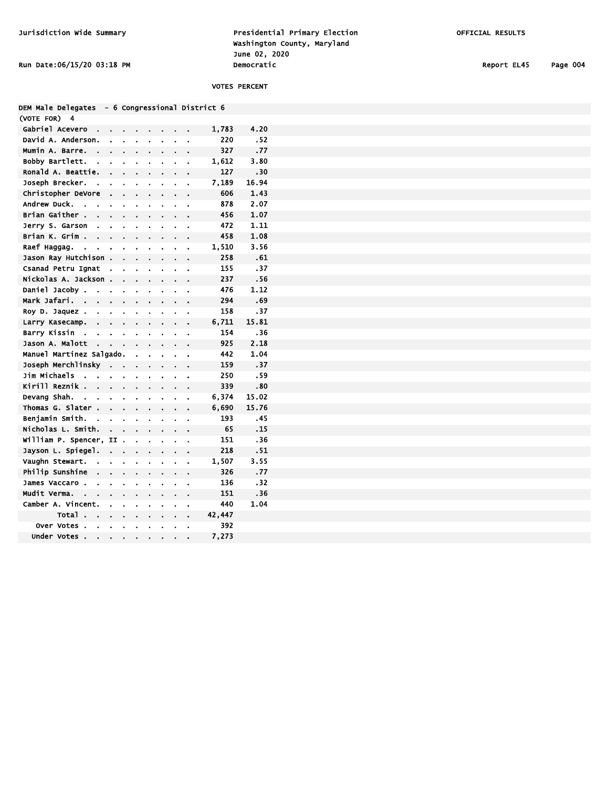Jurisdiction Wide Summary Presidential Primary Election OFFICIAL RESULTS Washington County, Maryland June 02, 2020 Run Date:06/15/20 03:18 PM **Democratic** Democratic Report EL45 Page 004

## VOTES PERCENT

|  | DEM Male Delegates - 6 Congressional District 6 |  |
|--|-------------------------------------------------|--|
|  |                                                 |  |

| (VOTE FOR)<br>4                           |                |                |                |    |                |                |                |                |        |       |
|-------------------------------------------|----------------|----------------|----------------|----|----------------|----------------|----------------|----------------|--------|-------|
| Gabriel Acevero                           |                |                |                |    |                |                |                |                | 1,783  | 4.20  |
| David A. Anderson.                        |                | ä.             | ä,             | ä, | ä,             | ä,             | ä              | í.             | 220    | . 52  |
| Mumin A. Barre.                           |                |                |                |    |                |                |                |                | 327    | .77   |
| Bobby Bartlett.                           | ä.             | $\blacksquare$ | ä.             | ä. | $\blacksquare$ | i.             |                | ä,             | 1,612  | 3.80  |
| Ronald A. Beattie.                        |                | l.             | l.             | Ĩ. |                | l.             | l.             | l.             | 127    | .30   |
| Joseph Brecker.                           |                | l.             | ä,             | l. | í.             | ä              | ä,             | ä,             | 7,189  | 16.94 |
| Christopher DeVore                        |                |                |                |    |                | i,             |                |                | 606    | 1.43  |
| Andrew Duck.<br>$\overline{a}$            | ä,             | $\blacksquare$ | i,             | ä, | $\blacksquare$ | ä              | ï              | ä              | 878    | 2.07  |
| Brian Gaither .                           | ä.             | ä.             | ä.             | ä. | ä.             | ä              | í.             | ä,             | 456    | 1.07  |
| Jerry S. Garson                           | ä,             | ä,             |                | ä, |                | ä,             |                | ä,             | 472    | 1.11  |
| Brian K. Grim<br>$\overline{\phantom{a}}$ |                |                |                | ä, |                |                |                |                | 458    | 1.08  |
| Raef Haggag.<br>ä,                        | ä,             | ä,             | ä,             | ä, | ä,             | ä              | $\blacksquare$ | ä,             | 1,510  | 3.56  |
| Jason Ray Hutchison                       |                |                | l.             |    |                |                |                |                | 258    | .61   |
| Csanad Petru Ignat                        |                | $\blacksquare$ | ä,             | ä, | Ĭ.             | i.             |                | ä,             | 155    | .37   |
| Nickolas A. Jackson                       |                |                | l.             | l. |                |                |                | l.             | 237    | .56   |
| Daniel Jacoby.                            | ä,             | ä,             | i.             | ä, | í.             | ä              | ä              |                | 476    | 1.12  |
| Mark Jafari.<br>$\mathcal{A}$             | ä,             | l,             |                | ä, | $\blacksquare$ | i.             | ä,             | ä              | 294    | .69   |
| Roy D. Jaquez.                            | ×.             | $\blacksquare$ | $\blacksquare$ |    | $\blacksquare$ | $\blacksquare$ |                | ä,             | 158    | .37   |
| Larry Kasecamp.                           | l,             |                |                | ä, | ä,             | ä,             |                | ï              | 6,711  | 15.81 |
| Barry Kissin<br>$\mathbf{r}$              | ä,             | Ĭ.             | ä,             | ä, | $\blacksquare$ | ä              | ä              | ä              | 154    | .36   |
| Jason A. Malott                           | l,             | l.             |                |    |                |                |                |                | 925    | 2.18  |
| Manuel Martinez Salgado.                  |                |                |                | ä. | $\blacksquare$ | ä,             |                |                | 442    | 1.04  |
| Joseph Merchlinsky                        |                | ÷.             | l,             | l. |                | l.             | l.             | l,             | 159    | .37   |
| Jim Michaels<br>L.                        | ä,             | ä,             | ä,             | i. | ä,             | ä,             | ä,             | l.             | 250    | .59   |
| Kirill Reznik .                           | l,             | l,             |                | ä, |                |                |                |                | 339    | .80   |
| Devang Shah.<br>$\sim$                    | ä,             | $\blacksquare$ | $\blacksquare$ | ä, |                |                |                | ä,             | 6,374  | 15.02 |
| Thomas G. Slater                          | Ĩ.             | l,             | ä,             | ä, | ä,             | ä,             |                | ä              | 6,690  | 15.76 |
| Beniamin Smith.                           | $\blacksquare$ | $\blacksquare$ | ò.             | ä. | ×.             | $\blacksquare$ |                | $\blacksquare$ | 193    | .45   |
| Nicholas L. Smith.                        |                |                |                |    |                |                |                |                | 65     | .15   |
| William P. Spencer,                       |                | II             | $\blacksquare$ | ä, | $\blacksquare$ | ä,             |                |                | 151    | .36   |
| Jayson L. Spiegel.                        |                | L.             | l.             |    |                |                |                |                | 218    | .51   |
| Vaughn Stewart.                           | ä.             | ä,             | ä,             |    |                | ä              | ä,             | i.             | 1,507  | 3.55  |
| Philip Sunshine                           | l,             |                |                | ä, |                |                |                |                | 326    | .77   |
| James Vaccaro .                           | ä,             | ä,             | i.             | l. |                |                | i.             |                | 136    | .32   |
| <b>Mudit Verma.</b><br>$\sim$             | l.             | ä,             |                | ä, | ä,             | ä              |                | ä,             | 151    | .36   |
| Camber A. Vincent.                        |                | ä.             | ä,             | ä, | ä.             | $\blacksquare$ | $\blacksquare$ | ä              | 440    | 1.04  |
| <b>Total</b>                              |                |                |                | ä, | $\blacksquare$ |                |                | ä,             | 42,447 |       |
| Over Votes<br>$\mathbf{r}$                | L.             | ï              | ï              | l. | ï              | l.             | ï              | ï              | 392    |       |
| <b>Under Votes</b>                        |                |                |                |    |                |                |                |                | 7,273  |       |